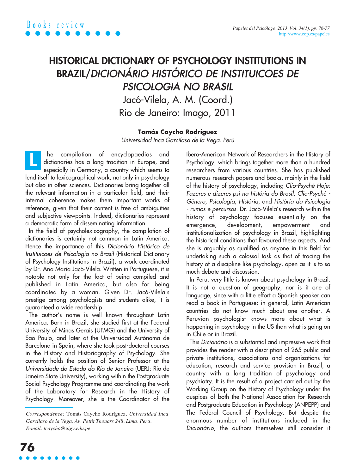## **HISTORICAL DICTIONARY OF PSYCHOLOGY INSTITUTIONS IN BRAZIL/**DICIONÁRIO HISTÓRICO DE INSTITUICOES DE PSICOLOGIA NO BRASIL Jacó-Vilela, A. M. (Coord.)

Rio de Janeiro: Imago, 2011

## **Tomás Caycho Rodríguez**

Universidad Inca Garcilaso de la Vega. Perú

he compilation of encyclopaedias and dictionaries has a long tradition in Europe, and especially in Germany, a country which seems to lend itself to lexicographical work, not only in psychology but also in other sciences. Dictionaries bring together all the relevant information in a particular field, and their internal coherence makes them important works of reference, given that their content is free of ambiguities and subjective viewpoints. Indeed, dictionaries represent a democratic form of disseminating information. **L**

In the field of psycholexicography, the compilation of dictionaries is certainly not common in Latin America. Hence the importance of this Dicionário Histórico de Instituicoes de Psicologia no Brasil (Historical Dictionary of Psychology Institutions in Brazil), a work coordinated by Dr. Ana Maria Jacó-Vilela. Written in Portuguese, it is notable not only for the fact of being compiled and published in Latin America, but also for being coordinated by a woman. Given Dr. Jacó-Vilela's prestige among psychologists and students alike, it is guaranteed a wide readership.

The author's name is well known throughout Latin America. Born in Brazil, she studied first at the Federal University of Minas Gerais (UFMG) and the University of Sao Paulo, and later at the Universidad Autónoma de Barcelona in Spain, where she took post-doctoral courses in the History and Historiography of Psychology. She currently holds the position of Senior Professor at the Universidade do Estado do Rio de Janeiro (UERJ; Rio de Janeiro State University), working within the Postgraduate Social Psychology Programme and coordinating the work of the Laboratory for Research in the History of Psychology. Moreover, she is the Coordinator of the

Ibero-American Network of Researchers in the History of Psychology, which brings together more than a hundred researchers from various countries. She has published numerous research papers and books, mainly in the field of the history of psychology, including Clio-Psyché Hoje: Fazeres e dizeres psi na história do Brasil, Clio-Psyché - Gênero, Psicologia, História, and História da Psicologia - rumos e percursos. Dr. Jacó-Vilela's research within the history of psychology focuses essentially on the emergence, development, empowerment and institutionalization of psychology in Brazil, highlighting the historical conditions that favoured these aspects. And she is arguably as qualified as anyone in this field for undertaking such a colossal task as that of tracing the history of a discipline like psychology, open as it is to so much debate and discussion.

In Peru, very little is known about psychology in Brazil. It is not a question of geography, nor is it one of language, since with a little effort a Spanish speaker can read a book in Portuguese; in general, Latin American countries do not know much about one another. A Peruvian psychologist knows more about what is happening in psychology in the US than what is going on in Chile or in Brazil.

This Dicionário is a substantial and impressive work that provides the reader with a description of 265 public and private institutions, associations and organizations for education, research and service provision in Brazil, a country with a long tradition of psychology and psychiatry. It is the result of a project carried out by the Working Group on the History of Psychology under the auspices of both the National Association for Research and Postgraduate Education in Psychology (ANPEPP) and The Federal Council of Psychology. But despite the enormous number of institutions included in the Dicionário, the authors themselves still consider it

*Correspondence:* Tomás Caycho Rodríguez. *Universidad Inca Garcilaso de la Vega. Av. Pettit Thouars 248. Lima. Peru. E-mail: tcaycho@uigv.edu.pe*